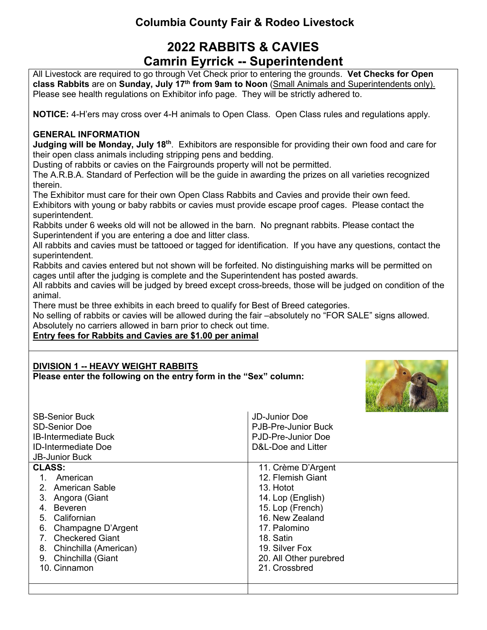## **Columbia County Fair & Rodeo Livestock**

# **2022 RABBITS & CAVIES Camrin Eyrrick -- Superintendent**

All Livestock are required to go through Vet Check prior to entering the grounds. **Vet Checks for Open class Rabbits** are on **Sunday, July 17th from 9am to Noon** (Small Animals and Superintendents only). Please see health regulations on Exhibitor info page. They will be strictly adhered to.

**NOTICE:** 4-H'ers may cross over 4-H animals to Open Class. Open Class rules and regulations apply.

#### **GENERAL INFORMATION**

**Judging will be Monday, July 18th**. Exhibitors are responsible for providing their own food and care for their open class animals including stripping pens and bedding.

Dusting of rabbits or cavies on the Fairgrounds property will not be permitted.

The A.R.B.A. Standard of Perfection will be the guide in awarding the prizes on all varieties recognized therein.

The Exhibitor must care for their own Open Class Rabbits and Cavies and provide their own feed. Exhibitors with young or baby rabbits or cavies must provide escape proof cages. Please contact the superintendent.

Rabbits under 6 weeks old will not be allowed in the barn. No pregnant rabbits. Please contact the Superintendent if you are entering a doe and litter class.

All rabbits and cavies must be tattooed or tagged for identification. If you have any questions, contact the superintendent.

Rabbits and cavies entered but not shown will be forfeited. No distinguishing marks will be permitted on cages until after the judging is complete and the Superintendent has posted awards.

All rabbits and cavies will be judged by breed except cross-breeds, those will be judged on condition of the animal.

There must be three exhibits in each breed to qualify for Best of Breed categories.

No selling of rabbits or cavies will be allowed during the fair –absolutely no "FOR SALE" signs allowed. Absolutely no carriers allowed in barn prior to check out time.

#### **Entry fees for Rabbits and Cavies are \$1.00 per animal**

### **DIVISION 1 -- HEAVY WEIGHT RABBITS**

**Please enter the following on the entry form in the "Sex" column:**



| <b>SB-Senior Buck</b><br><b>SD-Senior Doe</b><br><b>IB-Intermediate Buck</b><br><b>ID-Intermediate Doe</b><br><b>JB-Junior Buck</b> | <b>JD-Junior Doe</b><br>PJB-Pre-Junior Buck<br>PJD-Pre-Junior Doe<br>D&L-Doe and Litter |  |  |
|-------------------------------------------------------------------------------------------------------------------------------------|-----------------------------------------------------------------------------------------|--|--|
| <b>CLASS:</b>                                                                                                                       | 11. Crème D'Argent                                                                      |  |  |
| American<br>$1_{-}$                                                                                                                 | 12. Flemish Giant                                                                       |  |  |
| 2. American Sable                                                                                                                   | 13. Hotot                                                                               |  |  |
| 3. Angora (Giant                                                                                                                    | 14. Lop (English)                                                                       |  |  |
| Beveren<br>4                                                                                                                        | 15. Lop (French)                                                                        |  |  |
| 5. Californian                                                                                                                      | 16. New Zealand                                                                         |  |  |
| Champagne D'Argent<br>6.                                                                                                            | 17. Palomino                                                                            |  |  |
| 7. Checkered Giant                                                                                                                  | 18. Satin                                                                               |  |  |
| Chinchilla (American)<br>8.                                                                                                         | 19. Silver Fox                                                                          |  |  |
| 9. Chinchilla (Giant                                                                                                                | 20. All Other purebred                                                                  |  |  |
| 10. Cinnamon                                                                                                                        | 21. Crossbred                                                                           |  |  |
|                                                                                                                                     |                                                                                         |  |  |
|                                                                                                                                     |                                                                                         |  |  |